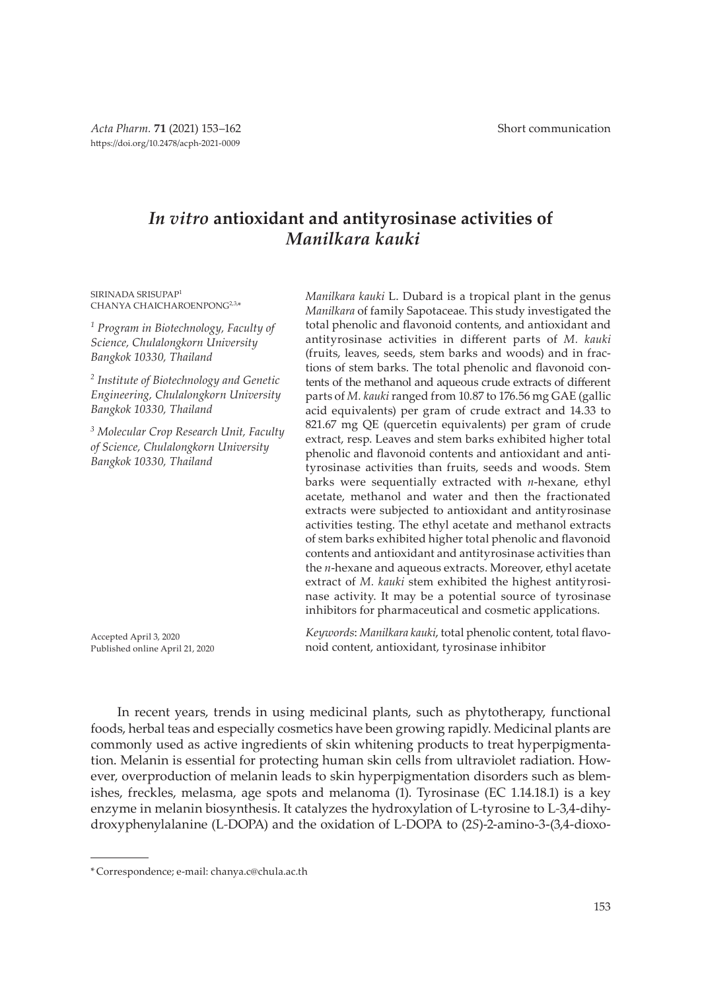# *In vitro* **antioxidant and antityrosinase activities of** *Manilkara kauki*

SIRINADA SRISUPAP<sup>1</sup> CHANYA CHAICHAROENPONG<sup>2,3,\*</sup>

*1 Program in Biotechnology, Faculty of Science, Chulalongkorn University Bangkok 10330, Thailand*

*2 Institute of Biotechnology and Genetic Engineering, Chulalongkorn University Bangkok 10330, Thailand*

*3 Molecular Crop Research Unit, Faculty of Science, Chulalongkorn University Bangkok 10330, Thailand*

*Manilkara* of family Sapotaceae. This study investigated the total phenolic and flavonoid contents, and antioxidant and antityrosinase activities in different parts of *M. kauki* (fruits, leaves, seeds, stem barks and woods) and in fractions of stem barks. The total phenolic and flavonoid contents of the methanol and aqueous crude extracts of different parts of *M. kauki* ranged from 10.87 to 176.56 mg GAE (gallic acid equivalents) per gram of crude extract and 14.33 to 821.67 mg QE (quercetin equivalents) per gram of crude extract, resp. Leaves and stem barks exhibited higher total phenolic and flavonoid contents and antioxidant and antityrosinase activities than fruits, seeds and woods. Stem barks were sequentially extracted with *n*-hexane, ethyl acetate, methanol and water and then the fractionated extracts were subjected to antioxidant and antityrosinase activities testing. The ethyl acetate and methanol extracts of stem barks exhibited higher total phenolic and flavonoid contents and antioxidant and antityrosinase activities than the *n*-hexane and aqueous extracts. Moreover, ethyl acetate extract of *M. kauki* stem exhibited the highest antityrosinase activity. It may be a potential source of tyrosinase inhibitors for pharmaceutical and cosmetic applications.

*Manilkara kauki* L. Dubard is a tropical plant in the genus

Accepted April 3, 2020 Published online April 21, 2020

*Keywords*: *Manilkara kauki*, total phenolic content, total flavonoid content, antioxidant, tyrosinase inhibitor

In recent years, trends in using medicinal plants, such as phytotherapy, functional foods, herbal teas and especially cosmetics have been growing rapidly. Medicinal plants are commonly used as active ingredients of skin whitening products to treat hyperpigmentation. Melanin is essential for protecting human skin cells from ultraviolet radiation. However, overproduction of melanin leads to skin hyperpigmentation disorders such as blemishes, freckles, melasma, age spots and melanoma (1). Tyrosinase (EC 1.14.18.1) is a key enzyme in melanin biosynthesis. It catalyzes the hydroxylation of L*-*tyrosine to L*-*3,4-dihydroxyphenylalanine (L*-*DOPA) and the oxidation of L*-*DOPA to (2*S*)-2-amino-3-(3,4-dioxo-

<sup>\*</sup> Correspondence; e-mail: chanya.c@chula.ac.th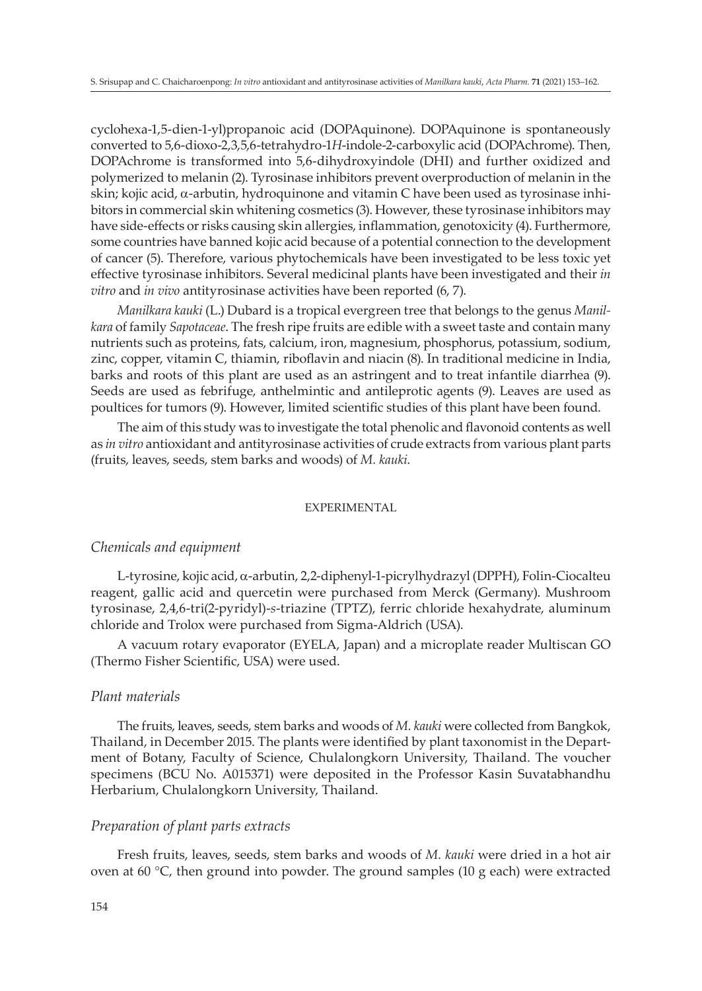cyclohexa-1,5-dien-1-yl)propanoic acid (DOPAquinone). DOPAquinone is spontaneously converted to 5,6-dioxo-2,3,5,6-tetrahydro-1*H*-indole-2-carboxylic acid (DOPAchrome). Then, DOPAchrome is transformed into 5,6-dihydroxyindole (DHI) and further oxidized and polymerized to melanin (2). Tyrosinase inhibitors prevent overproduction of melanin in the skin; kojic acid, a-arbutin, hydroquinone and vitamin C have been used as tyrosinase inhibitors in commercial skin whitening cosmetics (3). However, these tyrosinase inhibitors may have side-effects or risks causing skin allergies, inflammation, genotoxicity (4). Furthermore, some countries have banned kojic acid because of a potential connection to the development of cancer (5). Therefore, various phytochemicals have been investigated to be less toxic yet effective tyrosinase inhibitors. Several medicinal plants have been investigated and their *in vitro* and *in vivo* antityrosinase activities have been reported (6, 7).

*Manilkara kauki* (L.) Dubard is a tropical evergreen tree that belongs to the genus *Manilkara* of family *Sapotaceae*. The fresh ripe fruits are edible with a sweet taste and contain many nutrients such as proteins, fats, calcium, iron, magnesium, phosphorus, potassium, sodium, zinc, copper, vitamin C, thiamin, riboflavin and niacin (8). In traditional medicine in India, barks and roots of this plant are used as an astringent and to treat infantile diarrhea (9). Seeds are used as febrifuge, anthelmintic and antileprotic agents (9). Leaves are used as poultices for tumors (9). However, limited scientific studies of this plant have been found.

The aim of this study was to investigate the total phenolic and flavonoid contents as well as *in vitro* antioxidant and antityrosinase activities of crude extracts from various plant parts (fruits, leaves, seeds, stem barks and woods) of *M. kauki*.

## EXPERIMENTAL

### *Chemicals and equipment*

L-tyrosine, kojic acid, a-arbutin, 2,2-diphenyl-1-picrylhydrazyl (DPPH), Folin-Ciocalteu reagent, gallic acid and quercetin were purchased from Merck (Germany). Mushroom tyrosinase, 2,4,6-tri(2-pyridyl)-*s*-triazine (TPTZ), ferric chloride hexahydrate, aluminum chloride and Trolox were purchased from Sigma-Aldrich (USA).

A vacuum rotary evaporator (EYELA, Japan) and a microplate reader Multiscan GO (Thermo Fisher Scientific, USA) were used.

#### *Plant materials*

The fruits, leaves, seeds, stem barks and woods of *M. kauki* were collected from Bangkok, Thailand, in December 2015. The plants were identified by plant taxonomist in the Department of Botany, Faculty of Science, Chulalongkorn University, Thailand. The voucher specimens (BCU No. A015371) were deposited in the Professor Kasin Suvatabhandhu Herbarium, Chulalongkorn University, Thailand.

## *Preparation of plant parts extracts*

Fresh fruits, leaves, seeds, stem barks and woods of *M. kauki* were dried in a hot air oven at 60  $\degree$ C, then ground into powder. The ground samples (10 g each) were extracted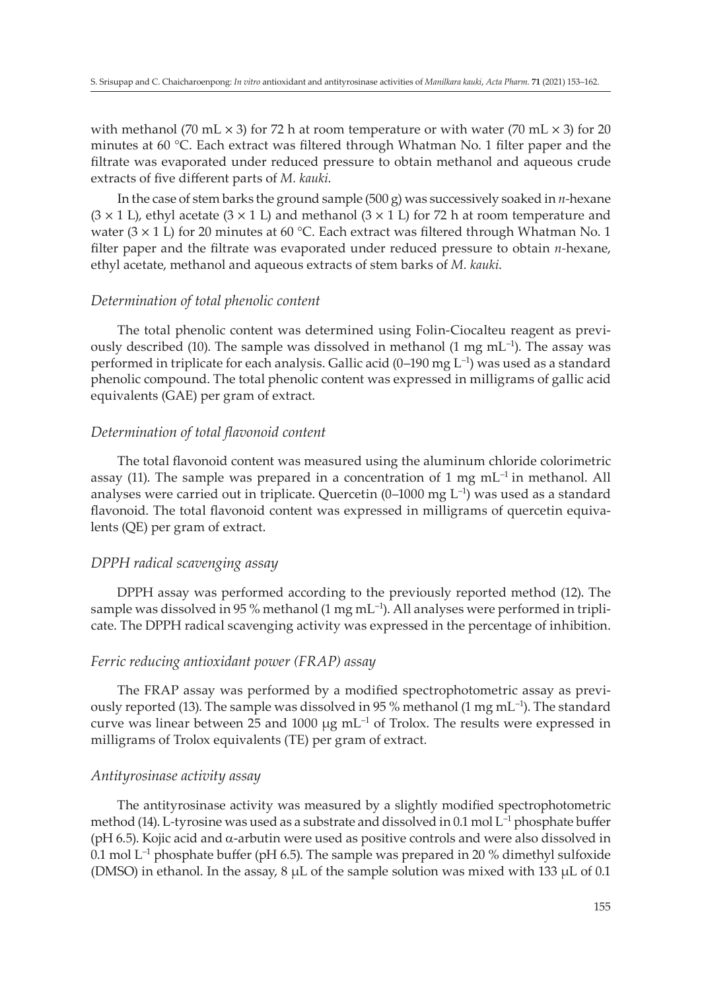with methanol (70 mL  $\times$  3) for 72 h at room temperature or with water (70 mL  $\times$  3) for 20 minutes at 60 °C. Each extract was filtered through Whatman No. 1 filter paper and the filtrate was evaporated under reduced pressure to obtain methanol and aqueous crude extracts of five different parts of *M. kauki*.

In the case of stem barks the ground sample (500 g) was successively soaked in *n-*hexane  $(3 \times 1)$ , ethyl acetate  $(3 \times 1)$  and methanol  $(3 \times 1)$  for 72 h at room temperature and water  $(3 \times 1)$  for 20 minutes at 60 °C. Each extract was filtered through Whatman No. 1 filter paper and the filtrate was evaporated under reduced pressure to obtain *n-*hexane, ethyl acetate, methanol and aqueous extracts of stem barks of *M. kauki*.

# *Determination of total phenolic content*

The total phenolic content was determined using Folin-Ciocalteu reagent as previously described (10). The sample was dissolved in methanol (1 mg  $mL^{-1}$ ). The assay was performed in triplicate for each analysis. Gallic acid  $(0-190 \text{ mg L}^{-1})$  was used as a standard phenolic compound. The total phenolic content was expressed in milligrams of gallic acid equivalents (GAE) per gram of extract.

# *Determination of total flavonoid content*

The total flavonoid content was measured using the aluminum chloride colorimetric assay (11). The sample was prepared in a concentration of 1 mg  $mL^{-1}$  in methanol. All analyses were carried out in triplicate. Quercetin  $(0-1000 \text{ mg L}^{-1})$  was used as a standard flavonoid. The total flavonoid content was expressed in milligrams of quercetin equivalents (QE) per gram of extract.

# *DPPH radical scavenging assay*

DPPH assay was performed according to the previously reported method (12). The sample was dissolved in 95 % methanol (1 mg  $mL^{-1}$ ). All analyses were performed in triplicate. The DPPH radical scavenging activity was expressed in the percentage of inhibition.

# *Ferric reducing antioxidant power (FRAP) assay*

The FRAP assay was performed by a modified spectrophotometric assay as previously reported (13). The sample was dissolved in 95 % methanol (1 mg  $mL^{-1}$ ). The standard curve was linear between 25 and 1000  $\mu$ g mL<sup>-1</sup> of Trolox. The results were expressed in milligrams of Trolox equivalents (TE) per gram of extract.

# *Antityrosinase activity assay*

The antityrosinase activity was measured by a slightly modified spectrophotometric method (14). L*-*tyrosine was used as a substrate and dissolved in 0.1 mol L–1 phosphate buffer (pH 6.5). Kojic acid and  $\alpha$ -arbutin were used as positive controls and were also dissolved in 0.1 mol  $L^{-1}$  phosphate buffer (pH 6.5). The sample was prepared in 20 % dimethyl sulfoxide (DMSO) in ethanol. In the assay,  $8 \mu L$  of the sample solution was mixed with 133  $\mu L$  of 0.1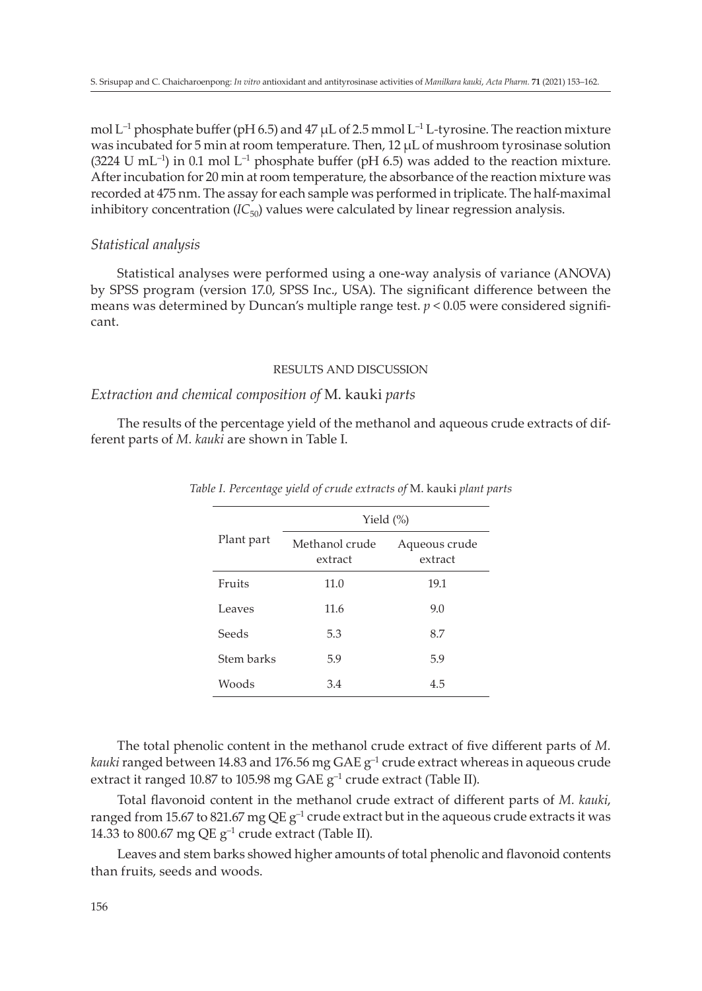mol L–1 phosphate buffer (pH 6.5) and 47 µL of 2.5 mmol L–1 L*-*tyrosine. The reaction mixture was incubated for 5 min at room temperature. Then, 12 µL of mushroom tyrosinase solution (3224 U mL<sup>-1</sup>) in 0.1 mol L<sup>-1</sup> phosphate buffer (pH 6.5) was added to the reaction mixture. After incubation for 20 min at room temperature, the absorbance of the reaction mixture was recorded at 475 nm. The assay for each sample was performed in triplicate. The half-maximal inhibitory concentration  $(IC_{50})$  values were calculated by linear regression analysis.

# *Statistical analysis*

Statistical analyses were performed using a one-way analysis of variance (ANOVA) by SPSS program (version 17.0, SPSS Inc., USA). The significant difference between the means was determined by Duncan's multiple range test.  $p < 0.05$  were considered significant.

#### RESULTS AND DISCUSSION

## *Extraction and chemical composition of* M. kauki *parts*

The results of the percentage yield of the methanol and aqueous crude extracts of different parts of *M. kauki* are shown in Table I.

|            | Yield $(\%)$              |                          |  |
|------------|---------------------------|--------------------------|--|
| Plant part | Methanol crude<br>extract | Aqueous crude<br>extract |  |
| Fruits     | 11.0                      | 19.1                     |  |
| Leaves     | 11.6                      | 9.0                      |  |
| Seeds      | 5.3                       | 8.7                      |  |
| Stem barks | 5.9                       | 5.9                      |  |
| Woods      | 3.4                       | 4.5                      |  |

*Table I. Percentage yield of crude extracts of* M. kauki *plant parts*

The total phenolic content in the methanol crude extract of five different parts of *M. kauki* ranged between 14.83 and 176.56 mg GAE g<sup>-1</sup> crude extract whereas in aqueous crude extract it ranged 10.87 to 105.98 mg GAE g<sup>-1</sup> crude extract (Table II).

Total flavonoid content in the methanol crude extract of different parts of *M. kauki*, ranged from 15.67 to 821.67 mg QE  $g^{-1}$  crude extract but in the aqueous crude extracts it was 14.33 to 800.67 mg QE  $g^{-1}$  crude extract (Table II).

Leaves and stem barks showed higher amounts of total phenolic and flavonoid contents than fruits, seeds and woods.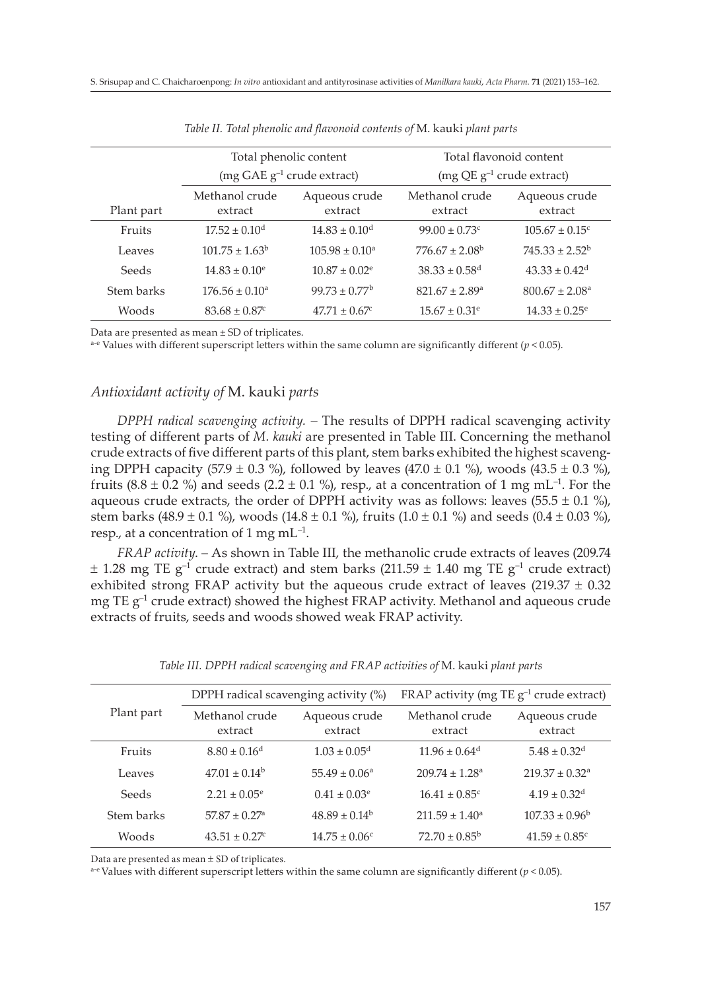|            | Total phenolic content          |                               | Total flavonoid content        |                                |
|------------|---------------------------------|-------------------------------|--------------------------------|--------------------------------|
|            | (mg GAE $g^{-1}$ crude extract) |                               | $(mg QE g^{-1}$ crude extract) |                                |
| Plant part | Methanol crude<br>extract       | Aqueous crude<br>extract      | Methanol crude<br>extract      | Aqueous crude<br>extract       |
| Fruits     | $17.52 \pm 0.10^{\mathrm{d}}$   | $14.83 \pm 0.10^{\mathrm{d}}$ | $99.00 + 0.73c$                | $105.67 \pm 0.15$ <sup>c</sup> |
| Leaves     | $101.75 \pm 1.63^{\circ}$       | $105.98 \pm 0.10^a$           | $776.67 \pm 2.08^{\circ}$      | $745.33 \pm 2.52^b$            |
| Seeds      | $14.83 \pm 0.10^e$              | $10.87 + 0.02$ <sup>e</sup>   | $38.33 \pm 0.58$ <sup>d</sup>  | $43.33 \pm 0.42^d$             |
| Stem barks | $176.56 \pm 0.10^a$             | $99.73 \pm 0.77^{\rm b}$      | $821.67 \pm 2.89$ <sup>a</sup> | $800.67 \pm 2.08^{\circ}$      |
| Woods      | $83.68 \pm 0.87$                | $47.71 \pm 0.67$              | $15.67 \pm 0.31^e$             | $14.33 \pm 0.25^e$             |

*Table II. Total phenolic and flavonoid contents of* M. kauki *plant parts*

Data are presented as mean ± SD of triplicates.

 $a-e$  Values with different superscript letters within the same column are significantly different ( $p < 0.05$ ).

# *Antioxidant activity of* M. kauki *parts*

*DPPH radical scavenging activity. –* The results of DPPH radical scavenging activity testing of different parts of *M. kauki* are presented in Table III. Concerning the methanol crude extracts of five different parts of this plant, stem barks exhibited the highest scavenging DPPH capacity (57.9  $\pm$  0.3 %), followed by leaves (47.0  $\pm$  0.1 %), woods (43.5  $\pm$  0.3 %), fruits (8.8  $\pm$  0.2 %) and seeds (2.2  $\pm$  0.1 %), resp., at a concentration of 1 mg mL<sup>-1</sup>. For the aqueous crude extracts, the order of DPPH activity was as follows: leaves  $(55.5 \pm 0.1 \%)$ , stem barks (48.9  $\pm$  0.1 %), woods (14.8  $\pm$  0.1 %), fruits (1.0  $\pm$  0.1 %) and seeds (0.4  $\pm$  0.03 %), resp., at a concentration of 1 mg  $mL^{-1}$ .

*FRAP activity*. – As shown in Table III, the methanolic crude extracts of leaves (209.74  $\pm$  1.28 mg TE g<sup>-1</sup> crude extract) and stem barks (211.59  $\pm$  1.40 mg TE g<sup>-1</sup> crude extract) exhibited strong FRAP activity but the aqueous crude extract of leaves (219.37  $\pm$  0.32 mg TE  $g^{-1}$  crude extract) showed the highest FRAP activity. Methanol and aqueous crude extracts of fruits, seeds and woods showed weak FRAP activity.

| Plant part | DPPH radical scavenging activity (%) |                          | FRAP activity (mg TE $g^{-1}$ crude extract) |                                |
|------------|--------------------------------------|--------------------------|----------------------------------------------|--------------------------------|
|            | Methanol crude<br>extract            | Aqueous crude<br>extract | Methanol crude<br>extract                    | Aqueous crude<br>extract       |
| Fruits     | $8.80 \pm 0.16$ <sup>d</sup>         | $1.03 \pm 0.05^{\rm d}$  | $11.96 \pm 0.64$ <sup>d</sup>                | $5.48 \pm 0.32$ <sup>d</sup>   |
| Leaves     | $47.01 \pm 0.14^{\circ}$             | $55.49 \pm 0.06^{\circ}$ | $209.74 \pm 1.28$ <sup>a</sup>               | $219.37 \pm 0.32$ <sup>a</sup> |
| Seeds      | $2.21 \pm 0.05^{\circ}$              | $0.41 \pm 0.03^{\circ}$  | $16.41 \pm 0.85$ <sup>c</sup>                | $4.19 \pm 0.32$ <sup>d</sup>   |
| Stem barks | $57.87 \pm 0.27$ <sup>a</sup>        | $48.89 \pm 0.14^{\rm b}$ | $211.59 \pm 1.40^a$                          | $107.33 \pm 0.96^{\circ}$      |
| Woods      | $43.51 \pm 0.27$                     | $14.75 \pm 0.06^{\circ}$ | $72.70 \pm 0.85^{\circ}$                     | $41.59 \pm 0.85$ <sup>c</sup>  |

*Table III. DPPH radical scavenging and FRAP activities of* M. kauki *plant parts*

Data are presented as mean  $\pm$  SD of triplicates.

a<sup>-e</sup> Values with different superscript letters within the same column are significantly different ( $p < 0.05$ ).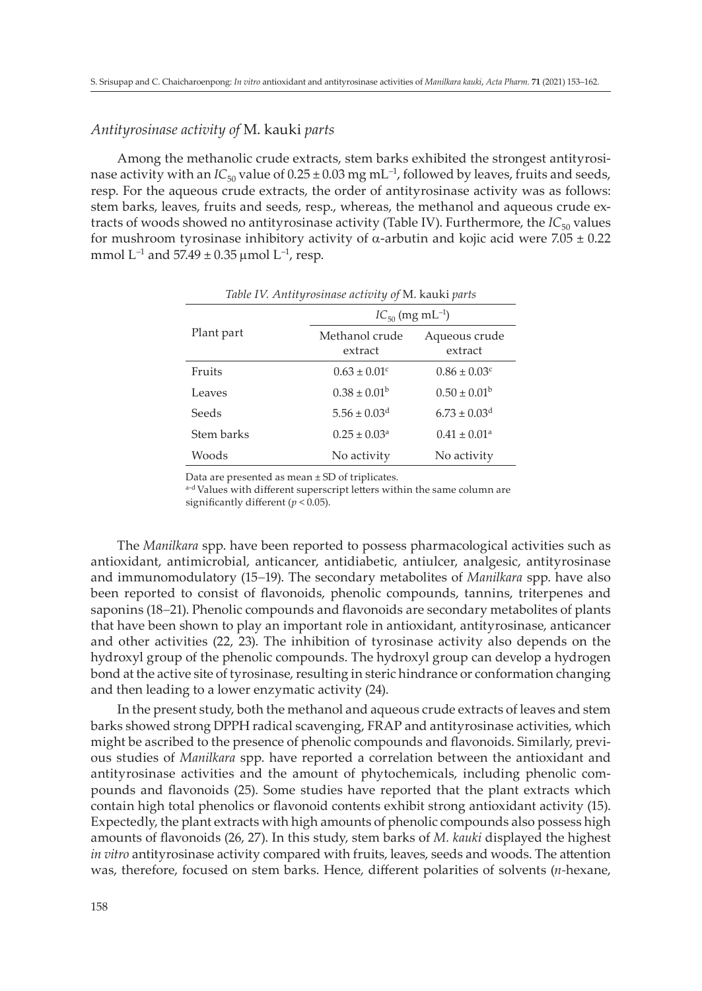# *Antityrosinase activity of* M. kauki *parts*

Among the methanolic crude extracts, stem barks exhibited the strongest antityrosinase activity with an  $IC_{50}$  value of  $0.25 \pm 0.03$  mg mL<sup>-1</sup>, followed by leaves, fruits and seeds, resp. For the aqueous crude extracts, the order of antityrosinase activity was as follows: stem barks, leaves, fruits and seeds, resp., whereas, the methanol and aqueous crude extracts of woods showed no antityrosinase activity (Table IV). Furthermore, the *IC*<sub>50</sub> values for mushroom tyrosinase inhibitory activity of  $\alpha$ -arbutin and kojic acid were 7.05  $\pm$  0.22 mmol  $L^{-1}$  and  $57.49 \pm 0.35$  µmol  $L^{-1}$ , resp.

|            | $IC_{50}$ (mg mL <sup>-1</sup> ) |                              |  |
|------------|----------------------------------|------------------------------|--|
| Plant part | Methanol crude<br>extract        | Aqueous crude<br>extract     |  |
| Fruits     | $0.63 \pm 0.01$ <sup>c</sup>     | $0.86 \pm 0.03$ <sup>c</sup> |  |
| Leaves     | $0.38 \pm 0.01^{\rm b}$          | $0.50 \pm 0.01^{\rm b}$      |  |
| Seeds      | $5.56 \pm 0.03$ <sup>d</sup>     | $6.73 \pm 0.03$ <sup>d</sup> |  |
| Stem barks | $0.25 \pm 0.03^a$                | $0.41 \pm 0.01^a$            |  |
| Woods      | No activity                      | No activity                  |  |

*Table IV. Antityrosinase activity of* M. kauki *parts*

Data are presented as mean ± SD of triplicates.

a-d Values with different superscript letters within the same column are significantly different (*p* < 0.05).

The *Manilkara* spp. have been reported to possess pharmacological activities such as antioxidant, antimicrobial, anticancer, antidiabetic, antiulcer, analgesic, antityrosinase and immunomodulatory (15-19). The secondary metabolites of *Manilkara* spp. have also been reported to consist of flavonoids, phenolic compounds, tannins, triterpenes and saponins (18-21). Phenolic compounds and flavonoids are secondary metabolites of plants that have been shown to play an important role in antioxidant, antityrosinase, anticancer and other activities (22, 23). The inhibition of tyrosinase activity also depends on the hydroxyl group of the phenolic compounds. The hydroxyl group can develop a hydrogen bond at the active site of tyrosinase, resulting in steric hindrance or conformation changing and then leading to a lower enzymatic activity (24).

In the present study, both the methanol and aqueous crude extracts of leaves and stem barks showed strong DPPH radical scavenging, FRAP and antityrosinase activities, which might be ascribed to the presence of phenolic compounds and flavonoids. Similarly, previous studies of *Manilkara* spp. have reported a correlation between the antioxidant and antityrosinase activities and the amount of phytochemicals, including phenolic compounds and flavonoids (25). Some studies have reported that the plant extracts which contain high total phenolics or flavonoid contents exhibit strong antioxidant activity (15). Expectedly, the plant extracts with high amounts of phenolic compounds also possess high amounts of flavonoids (26, 27). In this study, stem barks of *M. kauki* displayed the highest *in vitro* antityrosinase activity compared with fruits, leaves, seeds and woods. The attention was, therefore, focused on stem barks. Hence, different polarities of solvents (*n-*hexane,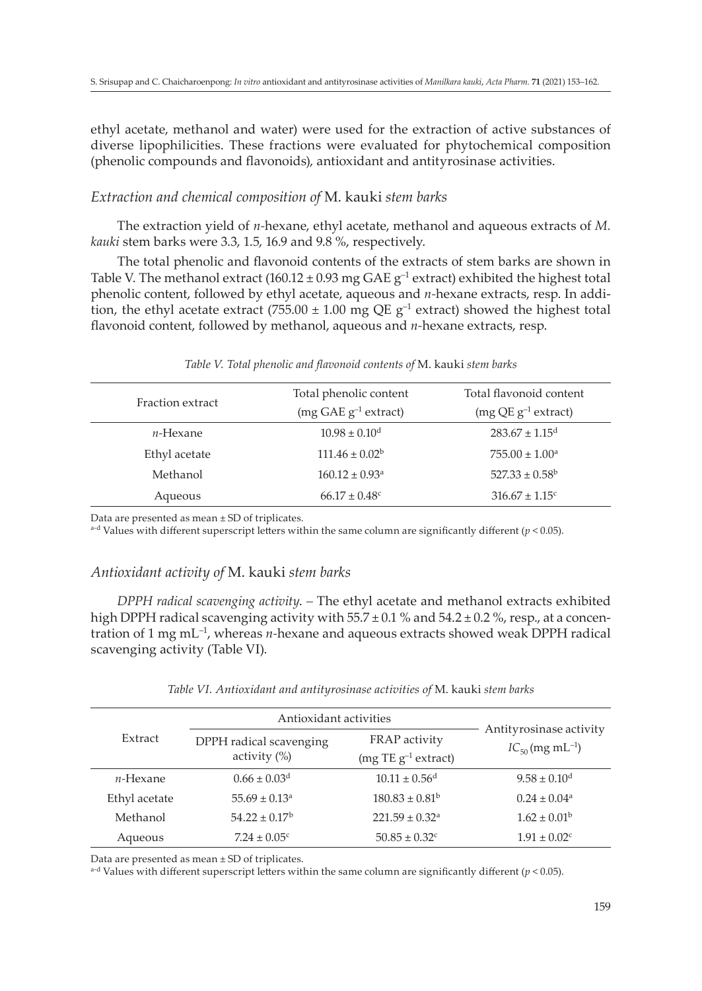ethyl acetate, methanol and water) were used for the extraction of active substances of diverse lipophilicities. These fractions were evaluated for phytochemical composition (phenolic compounds and flavonoids), antioxidant and antityrosinase activities.

# *Extraction and chemical composition of* M. kauki *stem barks*

The extraction yield of *n-*hexane, ethyl acetate, methanol and aqueous extracts of *M. kauki* stem barks were 3.3, 1.5, 16.9 and 9.8 %, respectively.

The total phenolic and flavonoid contents of the extracts of stem barks are shown in Table V. The methanol extract (160.12  $\pm$  0.93 mg GAE g<sup>-1</sup> extract) exhibited the highest total phenolic content, followed by ethyl acetate, aqueous and *n-*hexane extracts, resp. In addition, the ethyl acetate extract (755.00  $\pm$  1.00 mg QE g<sup>-1</sup> extract) showed the highest total flavonoid content, followed by methanol, aqueous and *n-*hexane extracts, resp.

| Total phenolic content         | Total flavonoid content        |
|--------------------------------|--------------------------------|
| $(mg GAE g^{-1}$ extract)      | $(mg QE g^{-1}$ extract)       |
| $10.98 \pm 0.10^{\text{d}}$    | $283.67 \pm 1.15^d$            |
| $111.46 \pm 0.02^b$            | $755.00 \pm 1.00^a$            |
| $160.12 \pm 0.93$ <sup>a</sup> | $527.33 \pm 0.58^{\rm b}$      |
| $66.17 \pm 0.48$ <sup>c</sup>  | $316.67 \pm 1.15$ <sup>c</sup> |
|                                |                                |

#### *Table V. Total phenolic and flavonoid contents of* M. kauki *stem barks*

Data are presented as mean ± SD of triplicates.

 $a-d$  Values with different superscript letters within the same column are significantly different ( $p < 0.05$ ).

# *Antioxidant activity of* M. kauki *stem barks*

*DPPH radical scavenging activity*. *–* The ethyl acetate and methanol extracts exhibited high DPPH radical scavenging activity with  $55.7 \pm 0.1$  % and  $54.2 \pm 0.2$  %, resp., at a concentration of 1 mg mL–1, whereas *n-*hexane and aqueous extracts showed weak DPPH radical scavenging activity (Table VI).

#### *Table VI. Antioxidant and antityrosinase activities of* M. kauki *stem barks*

|               | Antioxidant activities                     |                                |                                                             |
|---------------|--------------------------------------------|--------------------------------|-------------------------------------------------------------|
| Extract       | DPPH radical scavenging<br>activity $(\%)$ | FRAP activity                  | Antityrosinase activity<br>$IC_{50}$ (mg mL <sup>-1</sup> ) |
|               |                                            | (mg TE $g^{-1}$ extract)       |                                                             |
| $n$ -Hexane   | $0.66 \pm 0.03$ <sup>d</sup>               | $10.11 \pm 0.56$ <sup>d</sup>  | $9.58 \pm 0.10^{\rm d}$                                     |
| Ethyl acetate | $55.69 \pm 0.13$ <sup>a</sup>              | $180.83 \pm 0.81^{\rm b}$      | $0.24 \pm 0.04$ <sup>a</sup>                                |
| Methanol      | $54.22 \pm 0.17^b$                         | $221.59 \pm 0.32$ <sup>a</sup> | $1.62 \pm 0.01^{\rm b}$                                     |
| Aqueous       | $7.24 \pm 0.05$ <sup>c</sup>               | $50.85 \pm 0.32$ <sup>c</sup>  | $1.91 \pm 0.02$ <sup>c</sup>                                |

Data are presented as mean ± SD of triplicates.

<sup>a-d</sup> Values with different superscript letters within the same column are significantly different ( $p < 0.05$ ).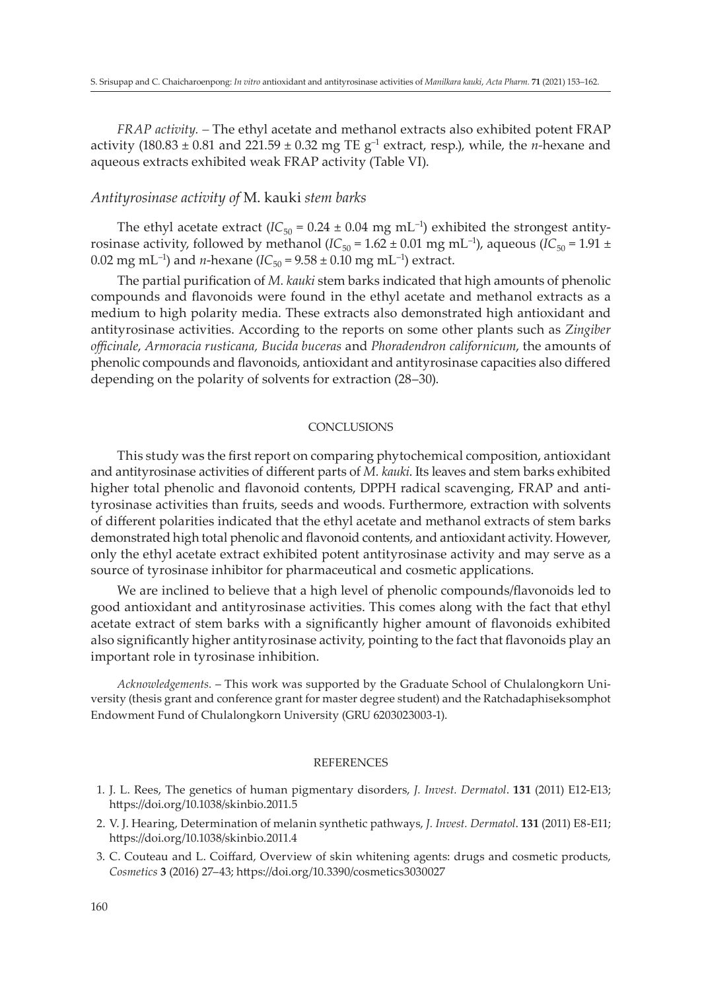*FRAP activity. –* The ethyl acetate and methanol extracts also exhibited potent FRAP activity (180.83  $\pm$  0.81 and 221.59  $\pm$  0.32 mg TE  $g^{-1}$  extract, resp.), while, the *n*-hexane and aqueous extracts exhibited weak FRAP activity (Table VI).

## *Antityrosinase activity of* M. kauki *stem barks*

The ethyl acetate extract  $(IC_{50} = 0.24 \pm 0.04 \text{ mg} \text{ mL}^{-1})$  exhibited the strongest antityrosinase activity, followed by methanol ( $IC_{50} = 1.62 \pm 0.01$  mg mL<sup>-1</sup>), aqueous ( $IC_{50} = 1.91 \pm 0.01$ 0.02 mg mL<sup>-1</sup>) and *n*-hexane ( $IC_{50} = 9.58 \pm 0.10$  mg mL<sup>-1</sup>) extract.

The partial purification of *M. kauki* stem barks indicated that high amounts of phenolic compounds and flavonoids were found in the ethyl acetate and methanol extracts as a medium to high polarity media. These extracts also demonstrated high antioxidant and antityrosinase activities. According to the reports on some other plants such as *Zingiber officinale*, *Armoracia rusticana, Bucida buceras* and *Phoradendron californicum*, the amounts of phenolic compounds and flavonoids, antioxidant and antityrosinase capacities also differed depending on the polarity of solvents for extraction (28–30).

## **CONCLUSIONS**

This study was the first report on comparing phytochemical composition, antioxidant and antityrosinase activities of different parts of *M. kauki*. Its leaves and stem barks exhibited higher total phenolic and flavonoid contents, DPPH radical scavenging, FRAP and antityrosinase activities than fruits, seeds and woods. Furthermore, extraction with solvents of different polarities indicated that the ethyl acetate and methanol extracts of stem barks demonstrated high total phenolic and flavonoid contents, and antioxidant activity. However, only the ethyl acetate extract exhibited potent antityrosinase activity and may serve as a source of tyrosinase inhibitor for pharmaceutical and cosmetic applications.

We are inclined to believe that a high level of phenolic compounds/flavonoids led to good antioxidant and antityrosinase activities. This comes along with the fact that ethyl acetate extract of stem barks with a significantly higher amount of flavonoids exhibited also significantly higher antityrosinase activity, pointing to the fact that flavonoids play an important role in tyrosinase inhibition.

*Acknowledgements.* – This work was supported by the Graduate School of Chulalongkorn University (thesis grant and conference grant for master degree student) and the Ratchadaphiseksomphot Endowment Fund of Chulalongkorn University (GRU 6203023003-1).

#### REFERENCES

- 1. J. L. Rees, The genetics of human pigmentary disorders, *J. Invest. Dermatol*. **131** (2011) E12-E13; https://doi.org/10.1038/skinbio.2011.5
- 2. V. J. Hearing, Determination of melanin synthetic pathways, *J. Invest. Dermatol*. **131** (2011) E8-E11; https://doi.org/10.1038/skinbio.2011.4
- 3. C. Couteau and L. Coiffard, Overview of skin whitening agents: drugs and cosmetic products, *Cosmetics* **3** (2016) 27–43; https://doi.org/10.3390/cosmetics3030027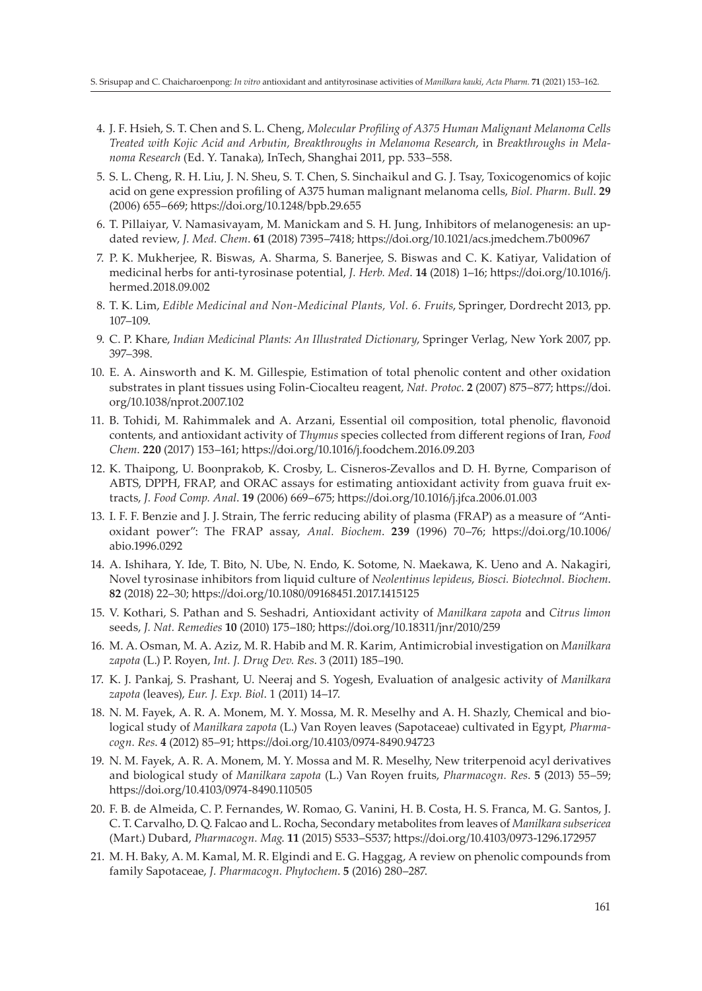- 4. J. F. Hsieh, S. T. Chen and S. L. Cheng, *Molecular Profiling of A375 Human Malignant Melanoma Cells Treated with Kojic Acid and Arbutin, Breakthroughs in Melanoma Research*, in *Breakthroughs in Melanoma Research* (Ed. Y. Tanaka), InTech, Shanghai 2011, pp. 533–558.
- 5. S. L. Cheng, R. H. Liu, J. N. Sheu, S. T. Chen, S. Sinchaikul and G. J. Tsay, Toxicogenomics of kojic acid on gene expression profiling of A375 human malignant melanoma cells, *Biol. Pharm. Bull*. **29** (2006) 655–669; https://doi.org/10.1248/bpb.29.655
- 6. T. Pillaiyar, V. Namasivayam, M. Manickam and S. H. Jung, Inhibitors of melanogenesis: an updated review, *J. Med. Chem*. **61** (2018) 7395–7418; https://doi.org/10.1021/acs.jmedchem.7b00967
- 7. P. K. Mukherjee, R. Biswas, A. Sharma, S. Banerjee, S. Biswas and C. K. Katiyar, Validation of medicinal herbs for anti-tyrosinase potential, *J. Herb. Med*. **14** (2018) 1–16; https://doi.org/10.1016/j. hermed.2018.09.002
- 8. T. K. Lim, *Edible Medicinal and Non-Medicinal Plants, Vol. 6. Fruits*, Springer, Dordrecht 2013, pp. 107–109.
- 9. C. P. Khare, *Indian Medicinal Plants: An Illustrated Dictionary*, Springer Verlag, New York 2007, pp. 397–398.
- 10. E. A. Ainsworth and K. M. Gillespie, Estimation of total phenolic content and other oxidation substrates in plant tissues using Folin-Ciocalteu reagent, *Nat. Protoc*. **2** (2007) 875–877; https://doi. org/10.1038/nprot.2007.102
- 11. B. Tohidi, M. Rahimmalek and A. Arzani, Essential oil composition, total phenolic, flavonoid contents, and antioxidant activity of *Thymus* species collected from different regions of Iran, *Food Chem*. **220** (2017) 153–161; https://doi.org/10.1016/j.foodchem.2016.09.203
- 12. K. Thaipong, U. Boonprakob, K. Crosby, L. Cisneros-Zevallos and D. H. Byrne, Comparison of ABTS, DPPH, FRAP, and ORAC assays for estimating antioxidant activity from guava fruit extracts, *J. Food Comp. Anal*. **19** (2006) 669–675; https://doi.org/10.1016/j.jfca.2006.01.003
- 13. I. F. F. Benzie and J. J. Strain, The ferric reducing ability of plasma (FRAP) as a measure of "Antioxidant power": The FRAP assay, *Anal. Biochem*. **239** (1996) 70–76; https://doi.org/10.1006/ abio.1996.0292
- 14. A. Ishihara, Y. Ide, T. Bito, N. Ube, N. Endo, K. Sotome, N. Maekawa, K. Ueno and A. Nakagiri, Novel tyrosinase inhibitors from liquid culture of *Neolentinus lepideus*, *Biosci. Biotechnol. Biochem*. **82** (2018) 22–30; https://doi.org/10.1080/09168451.2017.1415125
- 15. V. Kothari, S. Pathan and S. Seshadri, Antioxidant activity of *Manilkara zapota* and *Citrus limon* seeds, *J. Nat. Remedies* **10** (2010) 175–180; https://doi.org/10.18311/jnr/2010/259
- 16. M. A. Osman, M. A. Aziz, M. R. Habib and M. R. Karim, Antimicrobial investigation on *Manilkara zapota* (L.) P. Royen, *Int. J. Drug Dev. Res*. 3 (2011) 185–190.
- 17. K. J. Pankaj, S. Prashant, U. Neeraj and S. Yogesh, Evaluation of analgesic activity of *Manilkara zapota* (leaves), *Eur. J. Exp. Biol*. 1 (2011) 14–17.
- 18. N. M. Fayek, A. R. A. Monem, M. Y. Mossa, M. R. Meselhy and A. H. Shazly, Chemical and biological study of *Manilkara zapota* (L.) Van Royen leaves (Sapotaceae) cultivated in Egypt, *Pharmacogn. Res*. **4** (2012) 85–91; https://doi.org/10.4103/0974-8490.94723
- 19. N. M. Fayek, A. R. A. Monem, M. Y. Mossa and M. R. Meselhy, New triterpenoid acyl derivatives and biological study of *Manilkara zapota* (L.) Van Royen fruits, *Pharmacogn. Res*. **5** (2013) 55–59; https://doi.org/10.4103/0974-8490.110505
- 20. F. B. de Almeida, C. P. Fernandes, W. Romao, G. Vanini, H. B. Costa, H. S. Franca, M. G. Santos, J. C. T. Carvalho, D. Q. Falcao and L. Rocha, Secondary metabolites from leaves of *Manilkara subsericea* (Mart.) Dubard, *Pharmacogn. Mag*. **11** (2015) S533–S537; https://doi.org/10.4103/0973-1296.172957
- 21. M. H. Baky, A. M. Kamal, M. R. Elgindi and E. G. Haggag, A review on phenolic compounds from family Sapotaceae, *J. Pharmacogn. Phytochem*. **5** (2016) 280–287.